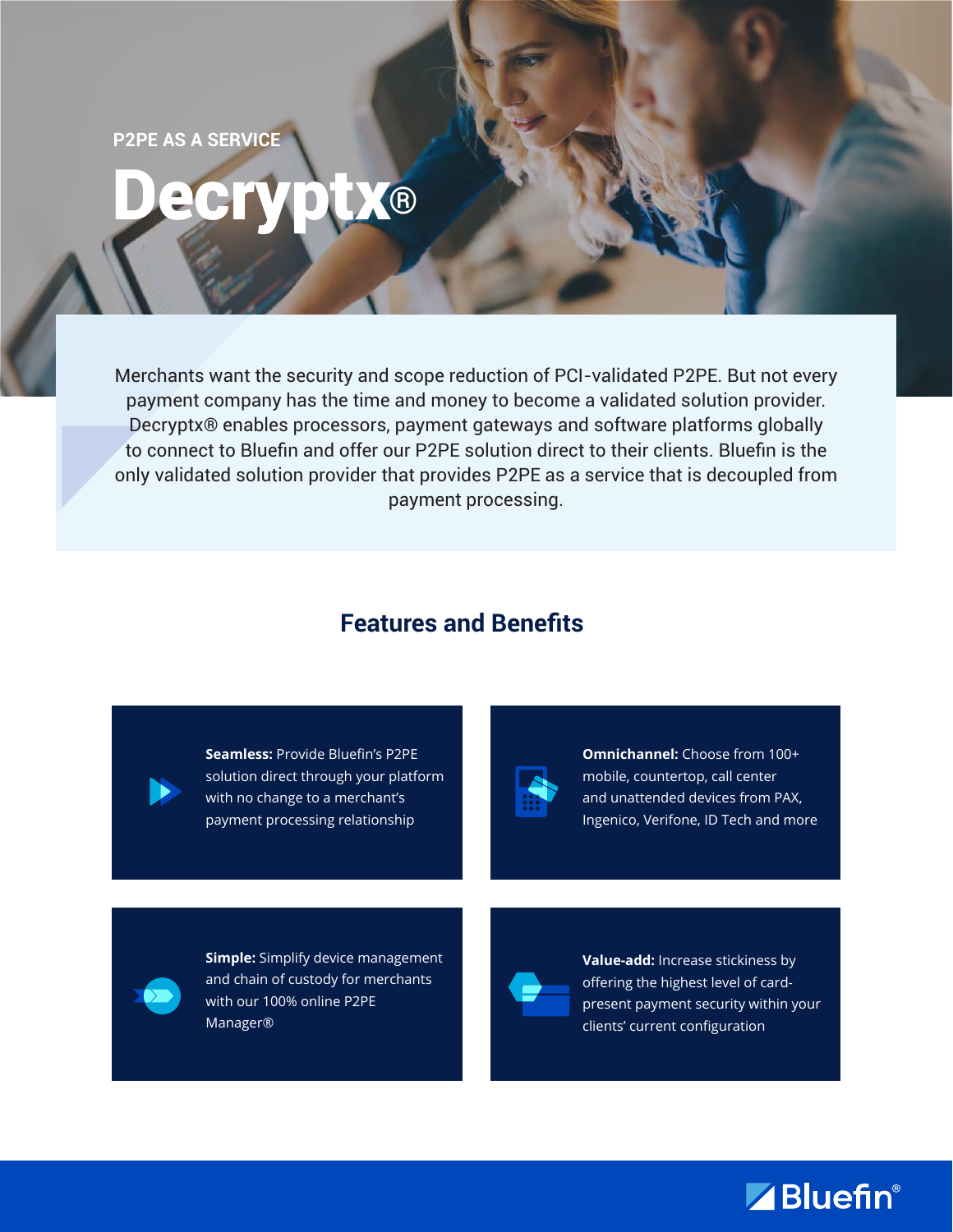**P2PE AS A SERVICE**

# Decryptx®

Merchants want the security and scope reduction of PCI-validated P2PE. But not every payment company has the time and money to become a validated solution provider. Decryptx® enables processors, payment gateways and software platforms globally to connect to Bluefin and offer our P2PE solution direct to their clients. Bluefin is the only validated solution provider that provides P2PE as a service that is decoupled from payment processing.

#### **Features and Benefits**



**Seamless:** Provide Bluefin's P2PE solution direct through your platform with no change to a merchant's payment processing relationship



**Omnichannel:** Choose from 100+ mobile, countertop, call center and unattended devices from PAX, Ingenico, Verifone, ID Tech and more



**Simple:** Simplify device management and chain of custody for merchants with our 100% online P2PE Manager®



**Value-add:** Increase stickiness by offering the highest level of cardpresent payment security within your clients' current configuration